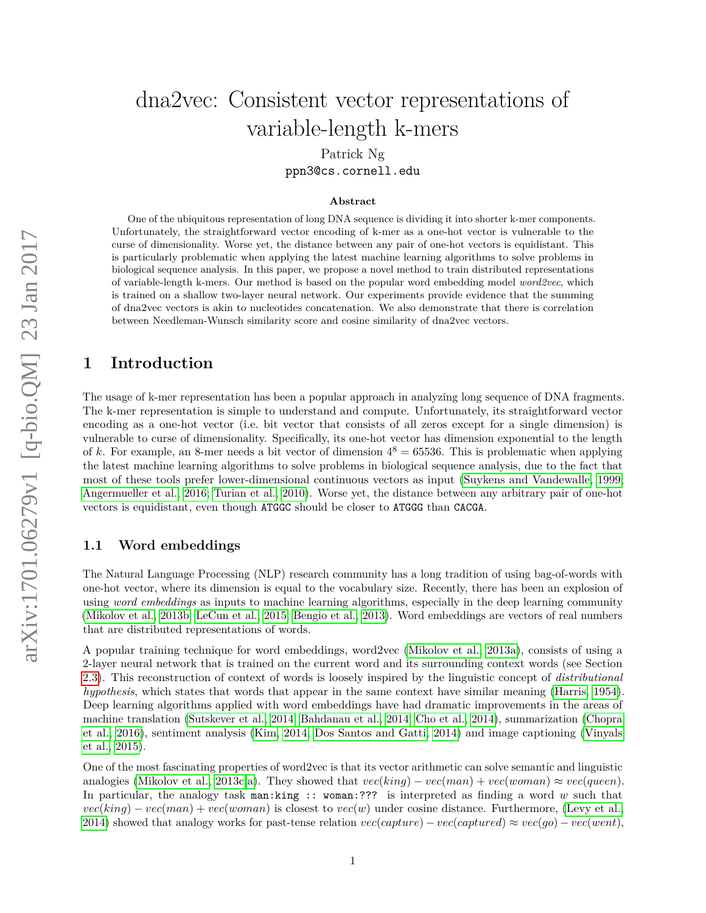# dna2vec: Consistent vector representations of variable-length k-mers

Patrick Ng ppn3@cs.cornell.edu

#### **Abstract**

One of the ubiquitous representation of long DNA sequence is dividing it into shorter k-mer components. Unfortunately, the straightforward vector encoding of k-mer as a one-hot vector is vulnerable to the curse of dimensionality. Worse yet, the distance between any pair of one-hot vectors is equidistant. This is particularly problematic when applying the latest machine learning algorithms to solve problems in biological sequence analysis. In this paper, we propose a novel method to train distributed representations of variable-length k-mers. Our method is based on the popular word embedding model *word2vec*, which is trained on a shallow two-layer neural network. Our experiments provide evidence that the summing of dna2vec vectors is akin to nucleotides concatenation. We also demonstrate that there is correlation between Needleman-Wunsch similarity score and cosine similarity of dna2vec vectors.

## **1 Introduction**

The usage of k-mer representation has been a popular approach in analyzing long sequence of DNA fragments. The k-mer representation is simple to understand and compute. Unfortunately, its straightforward vector encoding as a one-hot vector (i.e. bit vector that consists of all zeros except for a single dimension) is vulnerable to curse of dimensionality. Specifically, its one-hot vector has dimension exponential to the length of k. For example, an 8-mer needs a bit vector of dimension  $4^8 = 65536$ . This is problematic when applying the latest machine learning algorithms to solve problems in biological sequence analysis, due to the fact that most of these tools prefer lower-dimensional continuous vectors as input [\(Suykens and Vandewalle, 1999;](#page-9-0) [Angermueller et al., 2016;](#page-8-0) [Turian et al., 2010\)](#page-9-1). Worse yet, the distance between any arbitrary pair of one-hot vectors is equidistant, even though ATGGC should be closer to ATGGG than CACGA.

#### **1.1 Word embeddings**

The Natural Language Processing (NLP) research community has a long tradition of using bag-of-words with one-hot vector, where its dimension is equal to the vocabulary size. Recently, there has been an explosion of using *word embeddings* as inputs to machine learning algorithms, especially in the deep learning community [\(Mikolov et al., 2013b;](#page-8-1) [LeCun et al., 2015;](#page-8-2) [Bengio et al., 2013\)](#page-8-3). Word embeddings are vectors of real numbers that are distributed representations of words.

A popular training technique for word embeddings, word2vec [\(Mikolov et al., 2013a\)](#page-8-4), consists of using a 2-layer neural network that is trained on the current word and its surrounding context words (see Section [2.3\)](#page-2-0). This reconstruction of context of words is loosely inspired by the linguistic concept of *distributional hypothesis*, which states that words that appear in the same context have similar meaning [\(Harris, 1954\)](#page-8-5). Deep learning algorithms applied with word embeddings have had dramatic improvements in the areas of machine translation [\(Sutskever et al., 2014;](#page-9-2) [Bahdanau et al., 2014;](#page-8-6) [Cho et al., 2014\)](#page-8-7), summarization [\(Chopra](#page-8-8) [et al., 2016\)](#page-8-8), sentiment analysis [\(Kim, 2014;](#page-8-9) [Dos Santos and Gatti, 2014\)](#page-8-10) and image captioning [\(Vinyals](#page-9-3) [et al., 2015\)](#page-9-3).

One of the most fascinating properties of word2vec is that its vector arithmetic can solve semantic and linguistic analogies [\(Mikolov et al., 2013c,](#page-8-11)[a\)](#page-8-4). They showed that  $vec(kinq) - vec(man) + vec(woman) \approx vec(queen)$ . In particular, the analogy task man:king :: woman:??? is interpreted as finding a word *w* such that  $vec(king) - vec(man) + vec(woman)$  is closest to  $vec(w)$  under cosine distance. Furthermore, [\(Levy et al.,](#page-8-12) [2014\)](#page-8-12) showed that analogy works for past-tense relation  $vec(capture) - vec(captured) \approx vec(go) - vec(went)$ ,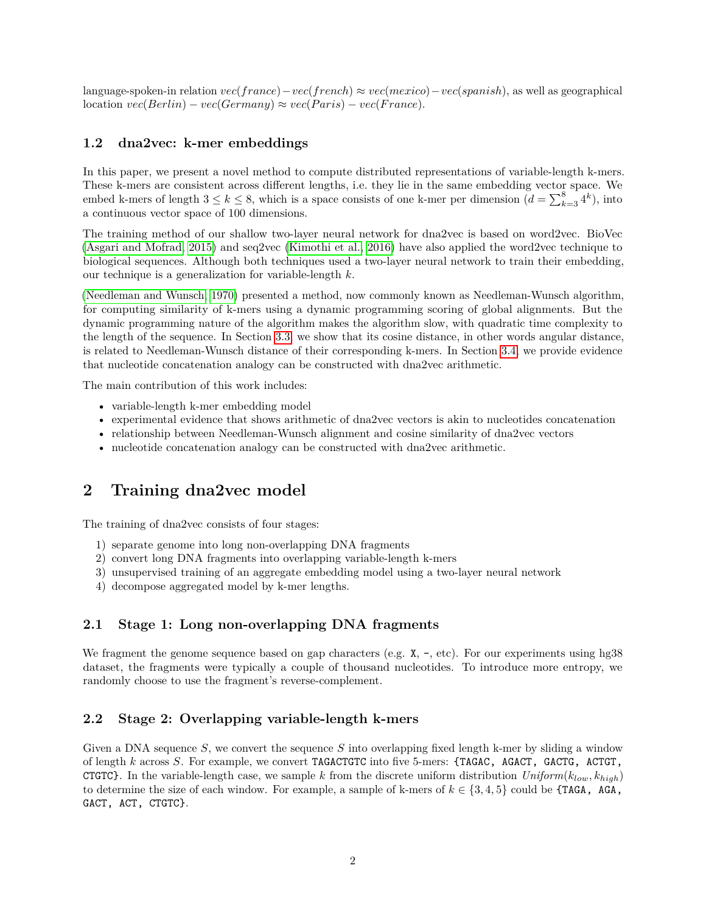language-spoken-in relation *vec*(*france*)−*vec*(*french*) ≈ *vec*(*mexico*)−*vec*(*spanish*), as well as geographical  $location \, vec(Berlin) - vec(Germany) \approx vec(Paris) - vec(France).$ 

#### **1.2 dna2vec: k-mer embeddings**

In this paper, we present a novel method to compute distributed representations of variable-length k-mers. These k-mers are consistent across different lengths, i.e. they lie in the same embedding vector space. We embed k-mers of length  $3 \le k \le 8$ , which is a space consists of one k-mer per dimension  $(d = \sum_{k=3}^{8} 4^k)$ , into a continuous vector space of 100 dimensions.

The training method of our shallow two-layer neural network for dna2vec is based on word2vec. BioVec [\(Asgari and Mofrad, 2015\)](#page-8-13) and seq2vec [\(Kimothi et al., 2016\)](#page-8-14) have also applied the word2vec technique to biological sequences. Although both techniques used a two-layer neural network to train their embedding, our technique is a generalization for variable-length *k*.

[\(Needleman and Wunsch, 1970\)](#page-9-4) presented a method, now commonly known as Needleman-Wunsch algorithm, for computing similarity of k-mers using a dynamic programming scoring of global alignments. But the dynamic programming nature of the algorithm makes the algorithm slow, with quadratic time complexity to the length of the sequence. In Section [3.3,](#page-3-0) we show that its cosine distance, in other words angular distance, is related to Needleman-Wunsch distance of their corresponding k-mers. In Section [3.4,](#page-3-1) we provide evidence that nucleotide concatenation analogy can be constructed with dna2vec arithmetic.

The main contribution of this work includes:

- variable-length k-mer embedding model
- experimental evidence that shows arithmetic of dna2vec vectors is akin to nucleotides concatenation
- relationship between Needleman-Wunsch alignment and cosine similarity of dna2vec vectors
- nucleotide concatenation analogy can be constructed with dna2vec arithmetic.

# **2 Training dna2vec model**

The training of dna2vec consists of four stages:

- 1) separate genome into long non-overlapping DNA fragments
- 2) convert long DNA fragments into overlapping variable-length k-mers
- 3) unsupervised training of an aggregate embedding model using a two-layer neural network
- 4) decompose aggregated model by k-mer lengths.

#### **2.1 Stage 1: Long non-overlapping DNA fragments**

We fragment the genome sequence based on gap characters (e.g.  $X, -$ , etc). For our experiments using hg38 dataset, the fragments were typically a couple of thousand nucleotides. To introduce more entropy, we randomly choose to use the fragment's reverse-complement.

#### <span id="page-1-0"></span>**2.2 Stage 2: Overlapping variable-length k-mers**

Given a DNA sequence *S*, we convert the sequence *S* into overlapping fixed length k-mer by sliding a window of length *k* across *S*. For example, we convert TAGACTGTC into five 5-mers: {TAGAC, AGACT, GACTG, ACTGT, **CTGTC}**. In the variable-length case, we sample *k* from the discrete uniform distribution  $Uniform(k_{low}, k_{high})$ to determine the size of each window. For example, a sample of k-mers of  $k \in \{3, 4, 5\}$  could be  $\{\text{TAGA}, \text{AGA}, \text{AGA}\}$ GACT, ACT, CTGTC}.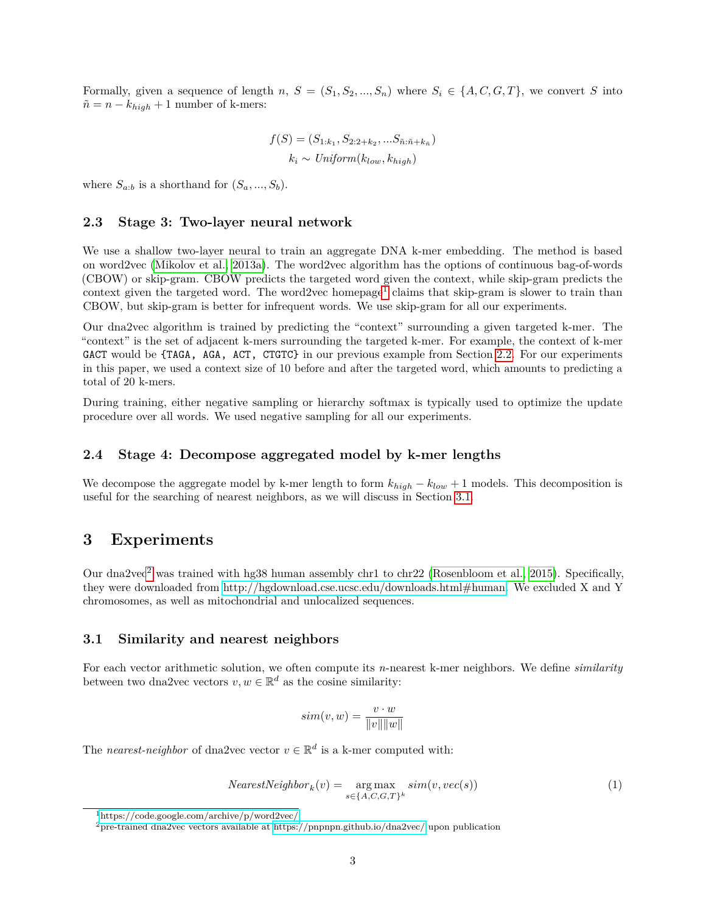Formally, given a sequence of length *n*,  $S = (S_1, S_2, ..., S_n)$  where  $S_i \in \{A, C, G, T\}$ , we convert *S* into  $\tilde{n} = n - k_{high} + 1$  number of k-mers:

$$
f(S) = (S_{1:k_1}, S_{2:2+k_2}, \dots S_{\tilde{n}:\tilde{n}+k_{\tilde{n}}})
$$

$$
k_i \sim Uniform(k_{low}, k_{high})
$$

where  $S_{a:b}$  is a shorthand for  $(S_a, ..., S_b)$ .

#### <span id="page-2-0"></span>**2.3 Stage 3: Two-layer neural network**

We use a shallow two-layer neural to train an aggregate DNA k-mer embedding. The method is based on word2vec [\(Mikolov et al., 2013a\)](#page-8-4). The word2vec algorithm has the options of continuous bag-of-words (CBOW) or skip-gram. CBOW predicts the targeted word given the context, while skip-gram predicts the context given the targeted word. The word2vec homepage<sup>[1](#page-2-1)</sup> claims that skip-gram is slower to train than CBOW, but skip-gram is better for infrequent words. We use skip-gram for all our experiments.

Our dna2vec algorithm is trained by predicting the "context" surrounding a given targeted k-mer. The "context" is the set of adjacent k-mers surrounding the targeted k-mer. For example, the context of k-mer GACT would be {TAGA, AGA, ACT, CTGTC} in our previous example from Section [2.2.](#page-1-0) For our experiments in this paper, we used a context size of 10 before and after the targeted word, which amounts to predicting a total of 20 k-mers.

During training, either negative sampling or hierarchy softmax is typically used to optimize the update procedure over all words. We used negative sampling for all our experiments.

#### **2.4 Stage 4: Decompose aggregated model by k-mer lengths**

We decompose the aggregate model by k-mer length to form  $k_{high} - k_{low} + 1$  models. This decomposition is useful for the searching of nearest neighbors, as we will discuss in Section [3.1.](#page-2-2)

## **3 Experiments**

Our dna[2](#page-2-3)vec<sup>2</sup> was trained with hg38 human assembly chr1 to chr22 [\(Rosenbloom et al., 2015\)](#page-9-5). Specifically, they were downloaded from [http://hgdownload.cse.ucsc.edu/downloads.html#human.](http://hgdownload.cse.ucsc.edu/downloads.html#human) We excluded X and Y chromosomes, as well as mitochondrial and unlocalized sequences.

#### <span id="page-2-2"></span>**3.1 Similarity and nearest neighbors**

For each vector arithmetic solution, we often compute its *n*-nearest k-mer neighbors. We define *similarity* between two dna2vec vectors  $v, w \in \mathbb{R}^d$  as the cosine similarity:

$$
sim(v, w) = \frac{v \cdot w}{\|v\| \|w\|}
$$

The *nearest-neighbor* of dna2vec vector  $v \in \mathbb{R}^d$  is a k-mer computed with:

<span id="page-2-4"></span>
$$
NearestNeighbour_k(v) = \underset{s \in \{A, C, G, T\}^k}{\arg \max} sim(v, vec(s))
$$
\n(1)

<span id="page-2-1"></span><sup>1</sup><https://code.google.com/archive/p/word2vec/>

<span id="page-2-3"></span><sup>&</sup>lt;sup>2</sup>pre-trained dna2vec vectors available at<https://pnpnpn.github.io/dna2vec/> upon publication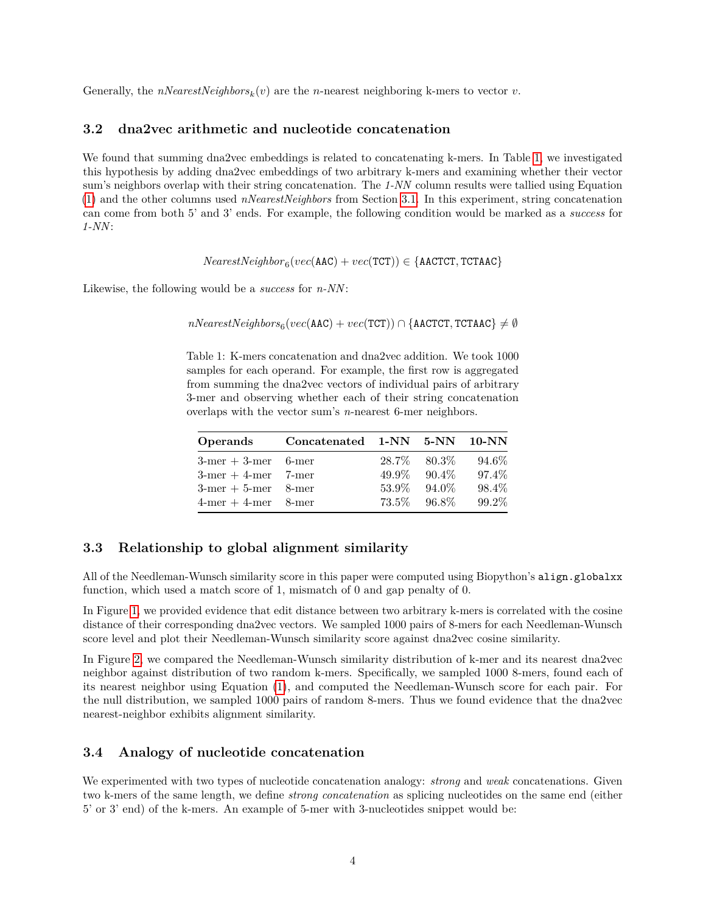Generally, the  $nNearestNeighbors_k(v)$  are the *n*-nearest neighboring k-mers to vector *v*.

#### **3.2 dna2vec arithmetic and nucleotide concatenation**

We found that summing dna2vec embeddings is related to concatenating k-mers. In Table [1,](#page-3-2) we investigated this hypothesis by adding dna2vec embeddings of two arbitrary k-mers and examining whether their vector sum's neighbors overlap with their string concatenation. The *1-NN* column results were tallied using Equation [\(1\)](#page-2-4) and the other columns used *nNearestNeighbors* from Section [3.1.](#page-2-2) In this experiment, string concatenation can come from both 5' and 3' ends. For example, the following condition would be marked as a *success* for *1-NN*:

 $NearestNeighbour_6(vec(\text{AAC}) + vec(TCT)) \in \{\text{AACTCT}, \text{TCTAAC}\}$ 

<span id="page-3-2"></span>Likewise, the following would be a *success* for *n-NN*:

 $nNearestNeighbors_{6}(vec(\texttt{AAC}) + vec(\texttt{TCT})) \cap \{\texttt{AACTCT}, \texttt{TCTAAC}\} \neq \emptyset$ 

Table 1: K-mers concatenation and dna2vec addition. We took 1000 samples for each operand. For example, the first row is aggregated from summing the dna2vec vectors of individual pairs of arbitrary 3-mer and observing whether each of their string concatenation overlaps with the vector sum's *n*-nearest 6-mer neighbors.

| Operands                    | Concatenated 1-NN 5-NN 10-NN |       |          |       |
|-----------------------------|------------------------------|-------|----------|-------|
| $3$ -mer + 3-mer 6-mer      |                              | 28.7% | -80.3%   | 94.6% |
| $3$ -mer + 4-mer 7-mer      |                              | 49.9% | $90.4\%$ | 97.4% |
| $3$ -mer $+5$ -mer $8$ -mer |                              | 53.9% | $94.0\%$ | 98.4% |
| $4$ -mer $+4$ -mer $8$ -mer |                              | 73.5% | 96.8%    | 99.2% |

#### <span id="page-3-0"></span>**3.3 Relationship to global alignment similarity**

All of the Needleman-Wunsch similarity score in this paper were computed using Biopython's align.globalxx function, which used a match score of 1, mismatch of 0 and gap penalty of 0.

In Figure [1,](#page-4-0) we provided evidence that edit distance between two arbitrary k-mers is correlated with the cosine distance of their corresponding dna2vec vectors. We sampled 1000 pairs of 8-mers for each Needleman-Wunsch score level and plot their Needleman-Wunsch similarity score against dna2vec cosine similarity.

In Figure [2,](#page-5-0) we compared the Needleman-Wunsch similarity distribution of k-mer and its nearest dna2vec neighbor against distribution of two random k-mers. Specifically, we sampled 1000 8-mers, found each of its nearest neighbor using Equation [\(1\)](#page-2-4), and computed the Needleman-Wunsch score for each pair. For the null distribution, we sampled 1000 pairs of random 8-mers. Thus we found evidence that the dna2vec nearest-neighbor exhibits alignment similarity.

#### <span id="page-3-1"></span>**3.4 Analogy of nucleotide concatenation**

We experimented with two types of nucleotide concatenation analogy: *strong* and *weak* concatenations. Given two k-mers of the same length, we define *strong concatenation* as splicing nucleotides on the same end (either 5' or 3' end) of the k-mers. An example of 5-mer with 3-nucleotides snippet would be: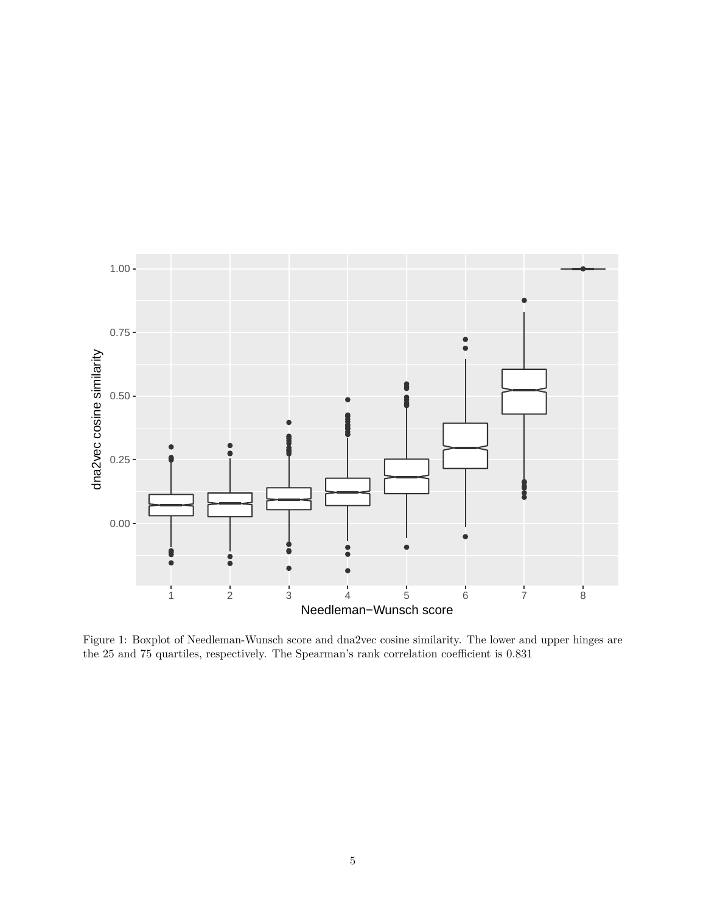

<span id="page-4-0"></span>Figure 1: Boxplot of Needleman-Wunsch score and dna2vec cosine similarity. The lower and upper hinges are the 25 and 75 quartiles, respectively. The Spearman's rank correlation coefficient is 0.831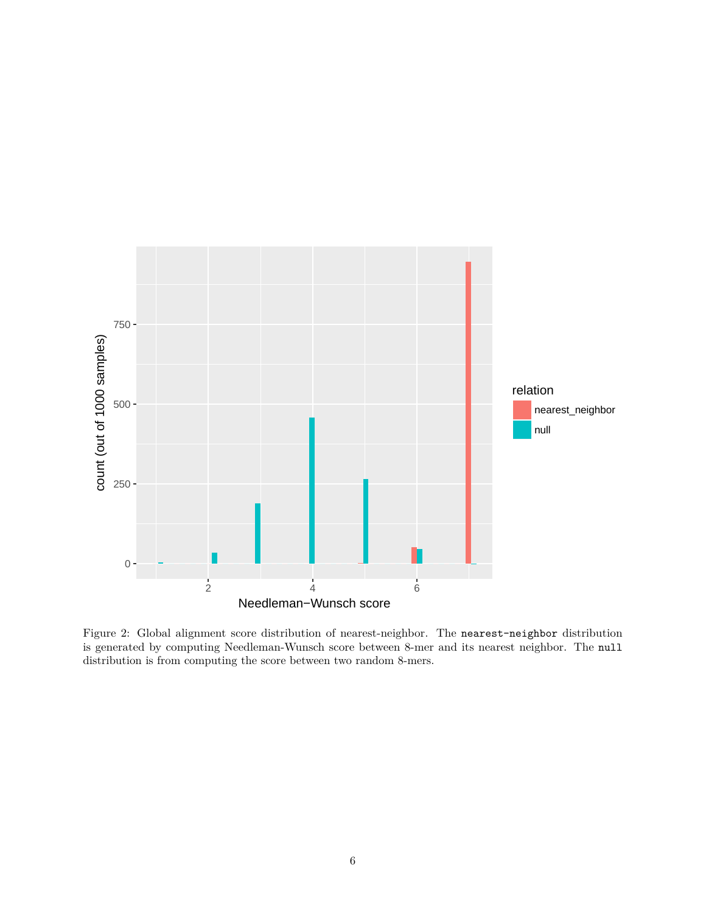

<span id="page-5-0"></span>Figure 2: Global alignment score distribution of nearest-neighbor. The nearest-neighbor distribution is generated by computing Needleman-Wunsch score between 8-mer and its nearest neighbor. The null distribution is from computing the score between two random 8-mers.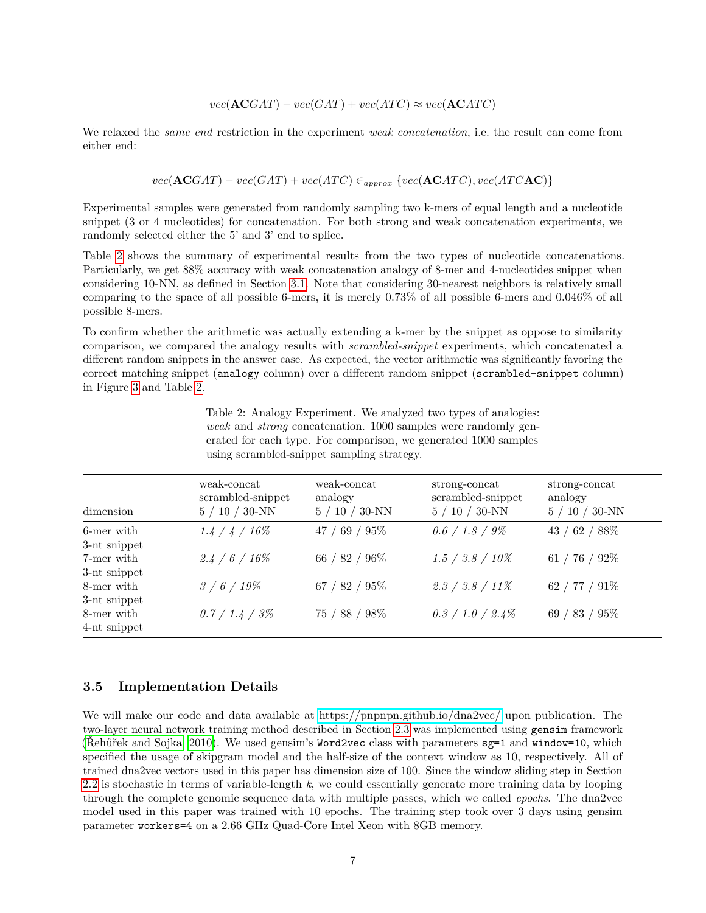$$
vec(\mathbf{ACGAT}) - vec(GAT) + vec(ATC) \approx vec(\mathbf{ACATC})
$$

We relaxed the *same end* restriction in the experiment *weak concatenation*, i.e. the result can come from either end:

$$
vec(\mathbf{ACGAT}) - vec(GAT) + vec(ATC) \in_{approx} \{vec(\mathbf{ACATC}), vec(ATCAC)\}
$$

Experimental samples were generated from randomly sampling two k-mers of equal length and a nucleotide snippet (3 or 4 nucleotides) for concatenation. For both strong and weak concatenation experiments, we randomly selected either the 5' and 3' end to splice.

Table [2](#page-6-0) shows the summary of experimental results from the two types of nucleotide concatenations. Particularly, we get 88% accuracy with weak concatenation analogy of 8-mer and 4-nucleotides snippet when considering 10-NN, as defined in Section [3.1.](#page-2-2) Note that considering 30-nearest neighbors is relatively small comparing to the space of all possible 6-mers, it is merely 0.73% of all possible 6-mers and 0.046% of all possible 8-mers.

<span id="page-6-0"></span>To confirm whether the arithmetic was actually extending a k-mer by the snippet as oppose to similarity comparison, we compared the analogy results with *scrambled-snippet* experiments, which concatenated a different random snippets in the answer case. As expected, the vector arithmetic was significantly favoring the correct matching snippet (analogy column) over a different random snippet (scrambled-snippet column) in Figure [3](#page-7-0) and Table [2.](#page-6-0)

> Table 2: Analogy Experiment. We analyzed two types of analogies: *weak* and *strong* concatenation. 1000 samples were randomly generated for each type. For comparison, we generated 1000 samples using scrambled-snippet sampling strategy.

| dimension    | weak-concat<br>scrambled-snippet<br>$5/10/30$ -NN | weak-concat<br>analogy<br>$5/10/30$ -NN | strong-concat<br>scrambled-snippet<br>$5/10/30$ -NN | strong-concat<br>analogy<br>$5/10/30$ -NN |
|--------------|---------------------------------------------------|-----------------------------------------|-----------------------------------------------------|-------------------------------------------|
| 6-mer with   | $1.4 / 4 / 16\%$                                  | 47 / 69 / 95 $%$                        | $0.6 / 1.8 / 9\%$                                   | 43 / 62 / 88 $%$                          |
| 3-nt snippet |                                                   |                                         |                                                     |                                           |
| 7-mer with   | $2.4 / 6 / 16\%$                                  | 66 / 82 / 96%                           | $1.5 / 3.8 / 10\%$                                  | 61 / 76 / $92\%$                          |
| 3-nt snippet |                                                   |                                         |                                                     |                                           |
| 8-mer with   | $3/6/19\%$                                        | 67 / 82 / 95 $%$                        | $2.3 / 3.8 / 11\%$                                  | 62 / 77 / $91\%$                          |
| 3-nt snippet |                                                   |                                         |                                                     |                                           |
| 8-mer with   | $0.7 / 1.4 / 3\%$                                 | 75 / 88 / 98%                           | $0.3 / 1.0 / 2.4\%$                                 | 69 / 83 / 95 $%$                          |
| 4-nt snippet |                                                   |                                         |                                                     |                                           |

#### **3.5 Implementation Details**

We will make our code and data available at<https://pnpnpn.github.io/dna2vec/> upon publication. The two-layer neural network training method described in Section [2.3](#page-2-0) was implemented using gensim framework [\(Řehůřek and Sojka, 2010\)](#page-9-6). We used gensim's Word2vec class with parameters sg=1 and window=10, which specified the usage of skipgram model and the half-size of the context window as 10, respectively. All of trained dna2vec vectors used in this paper has dimension size of 100. Since the window sliding step in Section [2.2](#page-1-0) is stochastic in terms of variable-length *k*, we could essentially generate more training data by looping through the complete genomic sequence data with multiple passes, which we called *epochs*. The dna2vec model used in this paper was trained with 10 epochs. The training step took over 3 days using gensim parameter workers=4 on a 2.66 GHz Quad-Core Intel Xeon with 8GB memory.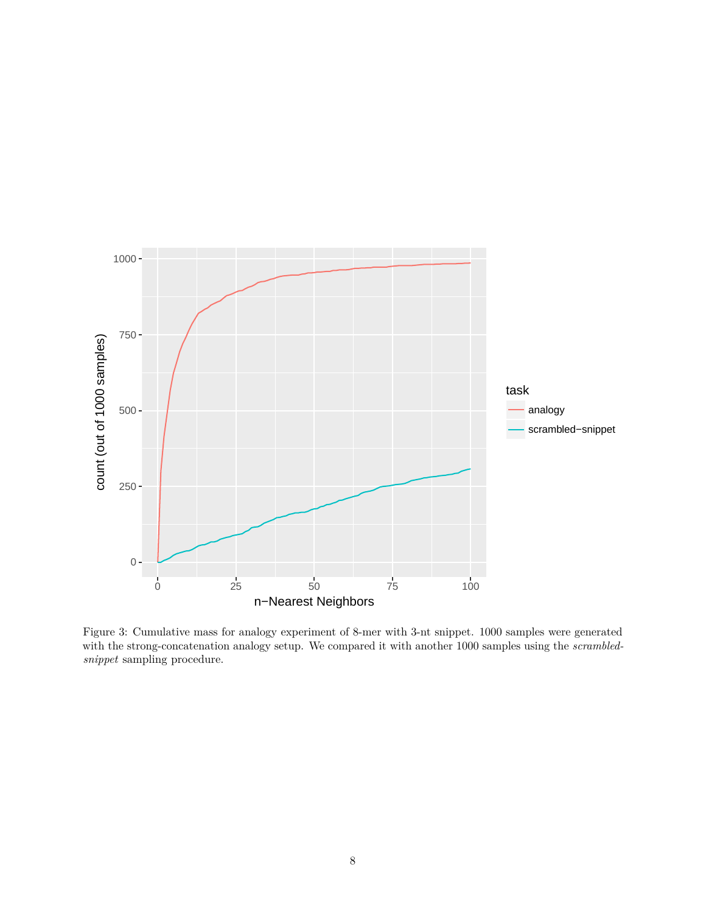

<span id="page-7-0"></span>Figure 3: Cumulative mass for analogy experiment of 8-mer with 3-nt snippet. 1000 samples were generated with the strong-concatenation analogy setup. We compared it with another 1000 samples using the *scrambledsnippet* sampling procedure.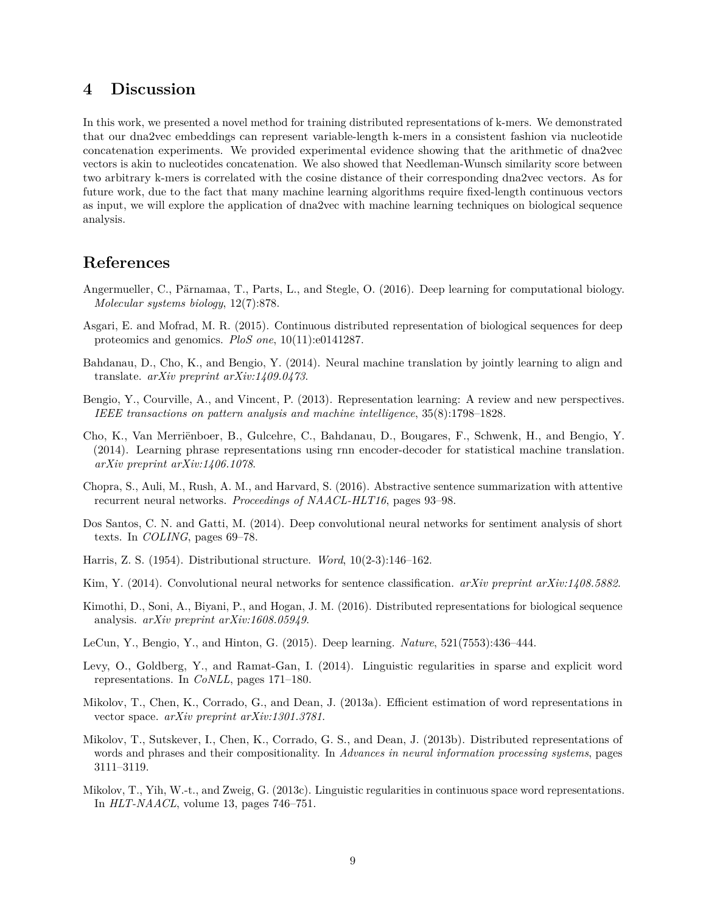## **4 Discussion**

In this work, we presented a novel method for training distributed representations of k-mers. We demonstrated that our dna2vec embeddings can represent variable-length k-mers in a consistent fashion via nucleotide concatenation experiments. We provided experimental evidence showing that the arithmetic of dna2vec vectors is akin to nucleotides concatenation. We also showed that Needleman-Wunsch similarity score between two arbitrary k-mers is correlated with the cosine distance of their corresponding dna2vec vectors. As for future work, due to the fact that many machine learning algorithms require fixed-length continuous vectors as input, we will explore the application of dna2vec with machine learning techniques on biological sequence analysis.

# **References**

- <span id="page-8-0"></span>Angermueller, C., Pärnamaa, T., Parts, L., and Stegle, O. (2016). Deep learning for computational biology. *Molecular systems biology*, 12(7):878.
- <span id="page-8-13"></span>Asgari, E. and Mofrad, M. R. (2015). Continuous distributed representation of biological sequences for deep proteomics and genomics. *PloS one*, 10(11):e0141287.
- <span id="page-8-6"></span>Bahdanau, D., Cho, K., and Bengio, Y. (2014). Neural machine translation by jointly learning to align and translate. *arXiv preprint arXiv:1409.0473*.
- <span id="page-8-3"></span>Bengio, Y., Courville, A., and Vincent, P. (2013). Representation learning: A review and new perspectives. *IEEE transactions on pattern analysis and machine intelligence*, 35(8):1798–1828.
- <span id="page-8-7"></span>Cho, K., Van Merriënboer, B., Gulcehre, C., Bahdanau, D., Bougares, F., Schwenk, H., and Bengio, Y. (2014). Learning phrase representations using rnn encoder-decoder for statistical machine translation. *arXiv preprint arXiv:1406.1078*.
- <span id="page-8-8"></span>Chopra, S., Auli, M., Rush, A. M., and Harvard, S. (2016). Abstractive sentence summarization with attentive recurrent neural networks. *Proceedings of NAACL-HLT16*, pages 93–98.
- <span id="page-8-10"></span>Dos Santos, C. N. and Gatti, M. (2014). Deep convolutional neural networks for sentiment analysis of short texts. In *COLING*, pages 69–78.
- <span id="page-8-5"></span>Harris, Z. S. (1954). Distributional structure. *Word*, 10(2-3):146–162.
- <span id="page-8-9"></span>Kim, Y. (2014). Convolutional neural networks for sentence classification. *arXiv preprint arXiv:1408.5882*.
- <span id="page-8-14"></span>Kimothi, D., Soni, A., Biyani, P., and Hogan, J. M. (2016). Distributed representations for biological sequence analysis. *arXiv preprint arXiv:1608.05949*.
- <span id="page-8-2"></span>LeCun, Y., Bengio, Y., and Hinton, G. (2015). Deep learning. *Nature*, 521(7553):436–444.
- <span id="page-8-12"></span>Levy, O., Goldberg, Y., and Ramat-Gan, I. (2014). Linguistic regularities in sparse and explicit word representations. In *CoNLL*, pages 171–180.
- <span id="page-8-4"></span>Mikolov, T., Chen, K., Corrado, G., and Dean, J. (2013a). Efficient estimation of word representations in vector space. *arXiv preprint arXiv:1301.3781*.
- <span id="page-8-1"></span>Mikolov, T., Sutskever, I., Chen, K., Corrado, G. S., and Dean, J. (2013b). Distributed representations of words and phrases and their compositionality. In *Advances in neural information processing systems*, pages 3111–3119.
- <span id="page-8-11"></span>Mikolov, T., Yih, W.-t., and Zweig, G. (2013c). Linguistic regularities in continuous space word representations. In *HLT-NAACL*, volume 13, pages 746–751.